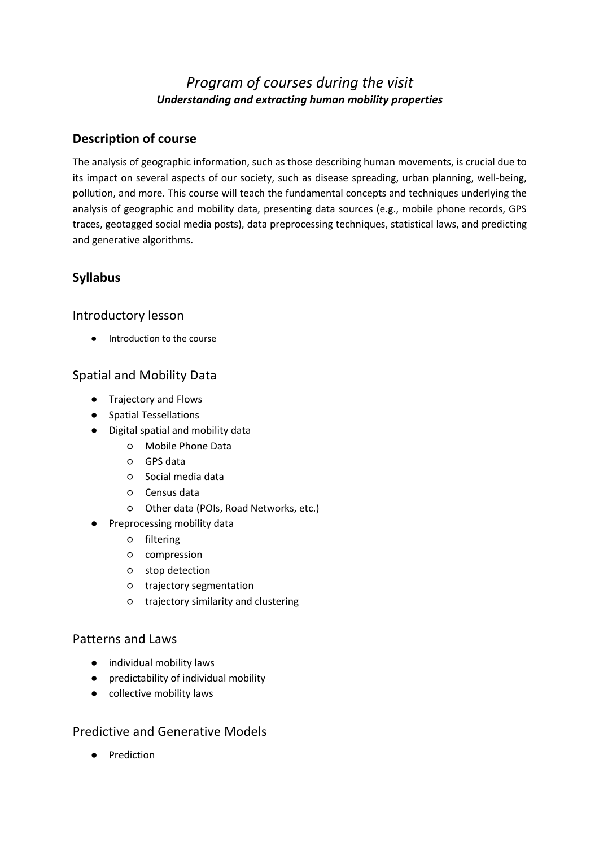# *Program of courses during the visit Understanding and extracting human mobility properties*

## **Description of course**

The analysis of geographic information, such as those describing human movements, is crucial due to its impact on several aspects of our society, such as disease spreading, urban planning, well-being, pollution, and more. This course will teach the fundamental concepts and techniques underlying the analysis of geographic and mobility data, presenting data sources (e.g., mobile phone records, GPS traces, geotagged social media posts), data preprocessing techniques, statistical laws, and predicting and generative algorithms.

## **Syllabus**

### Introductory lesson

● Introduction to the course

### Spatial and Mobility Data

- Trajectory and Flows
- Spatial Tessellations
- Digital spatial and mobility data
	- Mobile Phone Data
	- GPS data
	- Social media data
	- Census data
	- Other data (POIs, Road Networks, etc.)
- Preprocessing mobility data
	- filtering
	- compression
	- stop detection
	- trajectory segmentation
	- trajectory similarity and clustering

#### Patterns and Laws

- individual mobility laws
- predictability of individual mobility
- collective mobility laws

#### Predictive and Generative Models

● Prediction